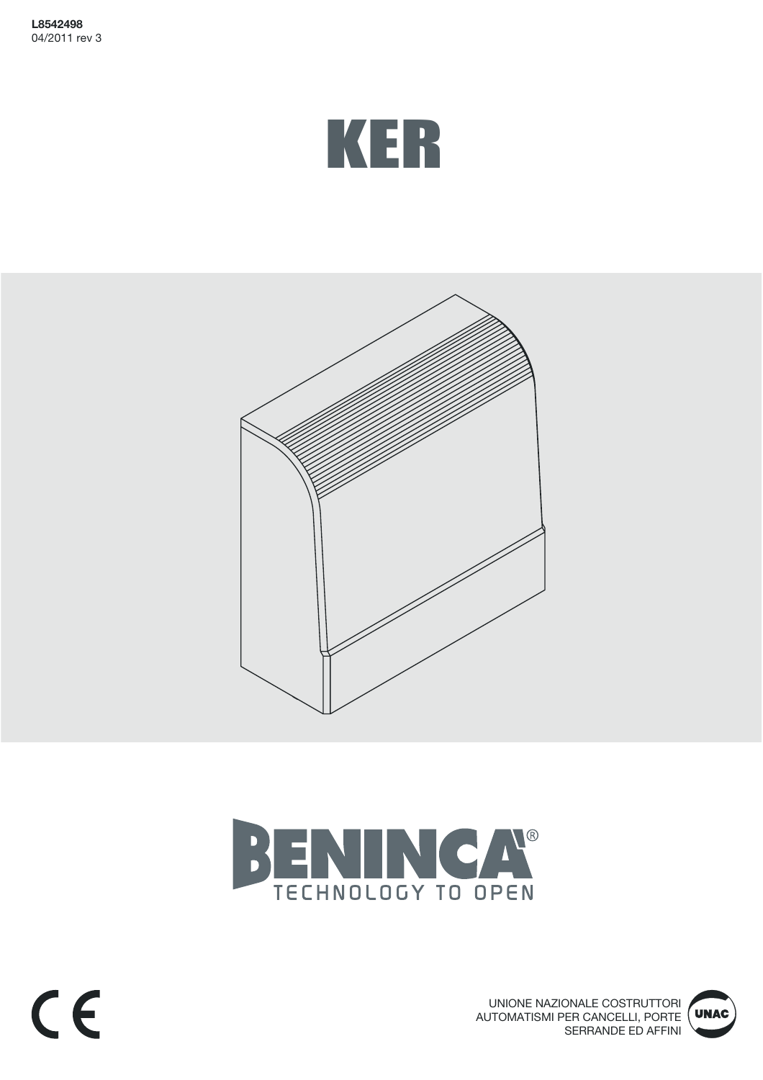







CE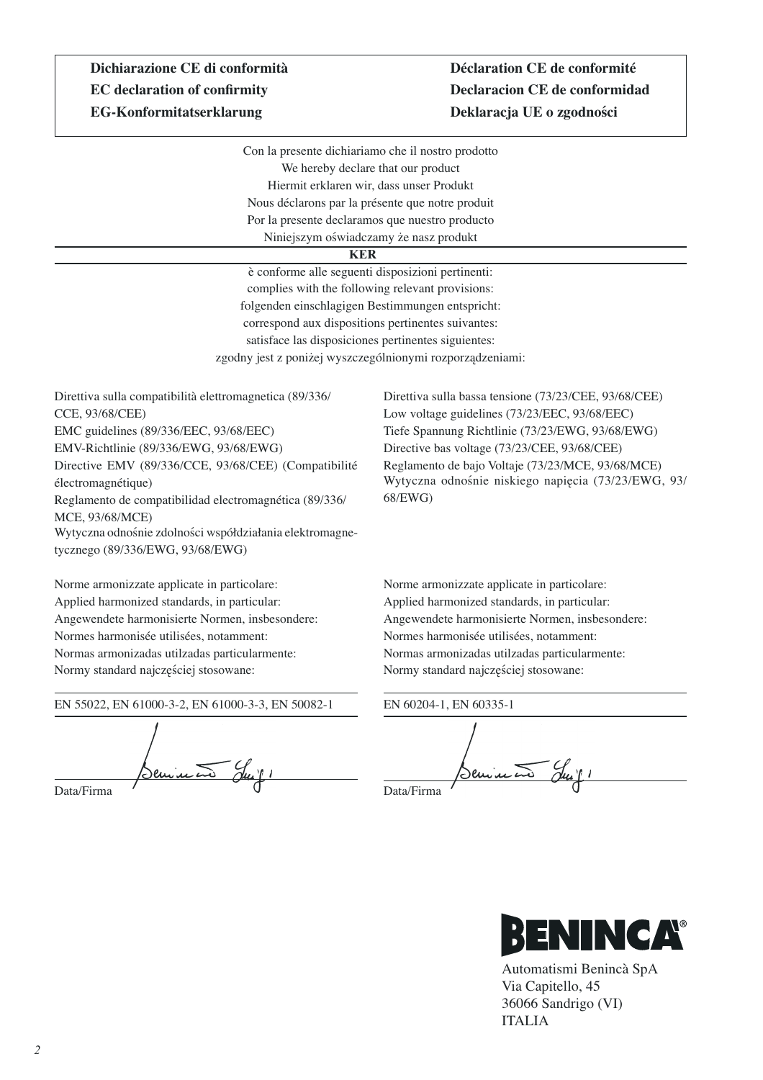## **Dichiarazione CE di conformità** Déclaration CE de conformité **EG-Konformitatserklarung Deklaracja UE o zgodności**

# **EC declaration of confirmity Declaracion CE de conformidad**

Con la presente dichiariamo che il nostro prodotto We hereby declare that our product Hiermit erklaren wir, dass unser Produkt Nous déclarons par la présente que notre produit Por la presente declaramos que nuestro producto Niniejszym oświadczamy że nasz produkt

#### **KER**

è conforme alle seguenti disposizioni pertinenti: complies with the following relevant provisions: folgenden einschlagigen Bestimmungen entspricht: correspond aux dispositions pertinentes suivantes: satisface las disposiciones pertinentes siguientes: zgodny jest z poniżej wyszczególnionymi rozporządzeniami:

Direttiva sulla compatibilità elettromagnetica (89/336/ CCE, 93/68/CEE) EMC guidelines (89/336/EEC, 93/68/EEC) EMV-Richtlinie (89/336/EWG, 93/68/EWG) Directive EMV (89/336/CCE, 93/68/CEE) (Compatibilité électromagnétique) Reglamento de compatibilidad electromagnética (89/336/ MCE, 93/68/MCE) Wytyczna odnośnie zdolności współdziałania elektromagnetycznego (89/336/EWG, 93/68/EWG)

Norme armonizzate applicate in particolare: Applied harmonized standards, in particular: Angewendete harmonisierte Normen, insbesondere: Normes harmonisée utilisées, notamment: Normas armonizadas utilzadas particularmente: Normy standard najczęściej stosowane:

EN 55022, EN 61000-3-2, EN 61000-3-3, EN 50082-1

Seminato Suif. Data/Firma

Direttiva sulla bassa tensione (73/23/CEE, 93/68/CEE) Low voltage guidelines (73/23/EEC, 93/68/EEC) Tiefe Spannung Richtlinie (73/23/EWG, 93/68/EWG) Directive bas voltage (73/23/CEE, 93/68/CEE) Reglamento de bajo Voltaje (73/23/MCE, 93/68/MCE) Wytyczna odnośnie niskiego napięcia (73/23/EWG, 93/ 68/EWG)

Norme armonizzate applicate in particolare: Applied harmonized standards, in particular: Angewendete harmonisierte Normen, insbesondere: Normes harmonisée utilisées, notamment: Normas armonizadas utilzadas particularmente: Normy standard najczęściej stosowane:

EN 60204-1, EN 60335-1 Denina Data/Firma



Automatismi Benincà SpA Via Capitello, 45 36066 Sandrigo (VI) ITALIA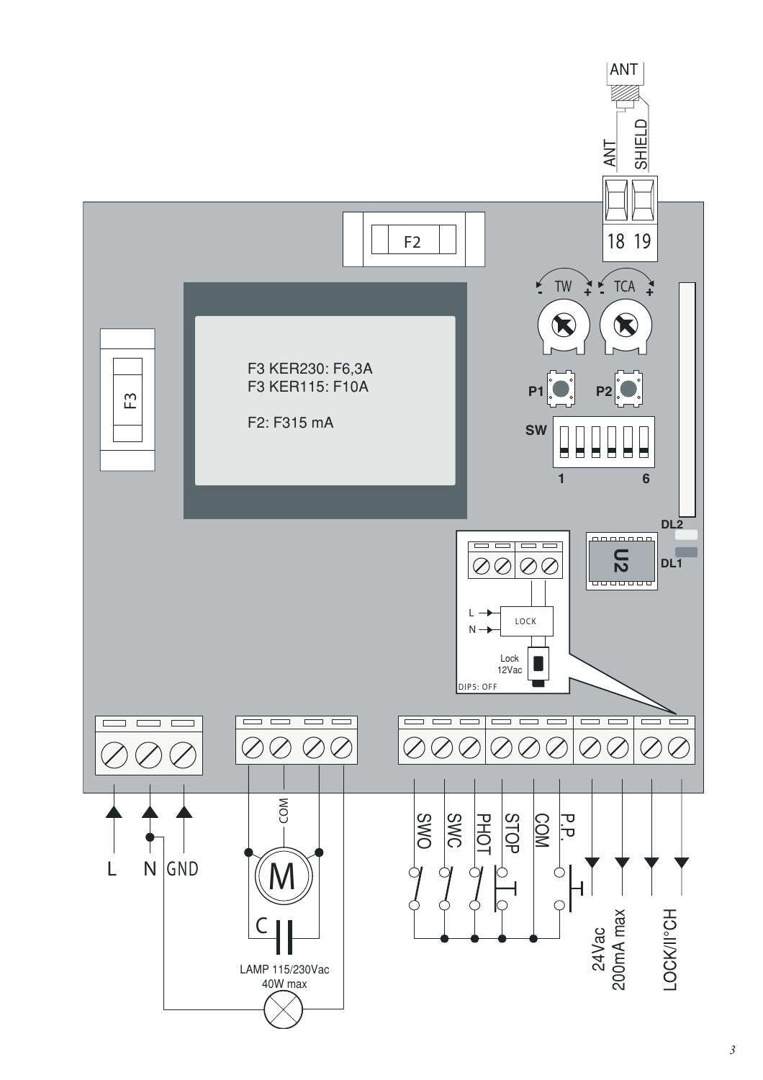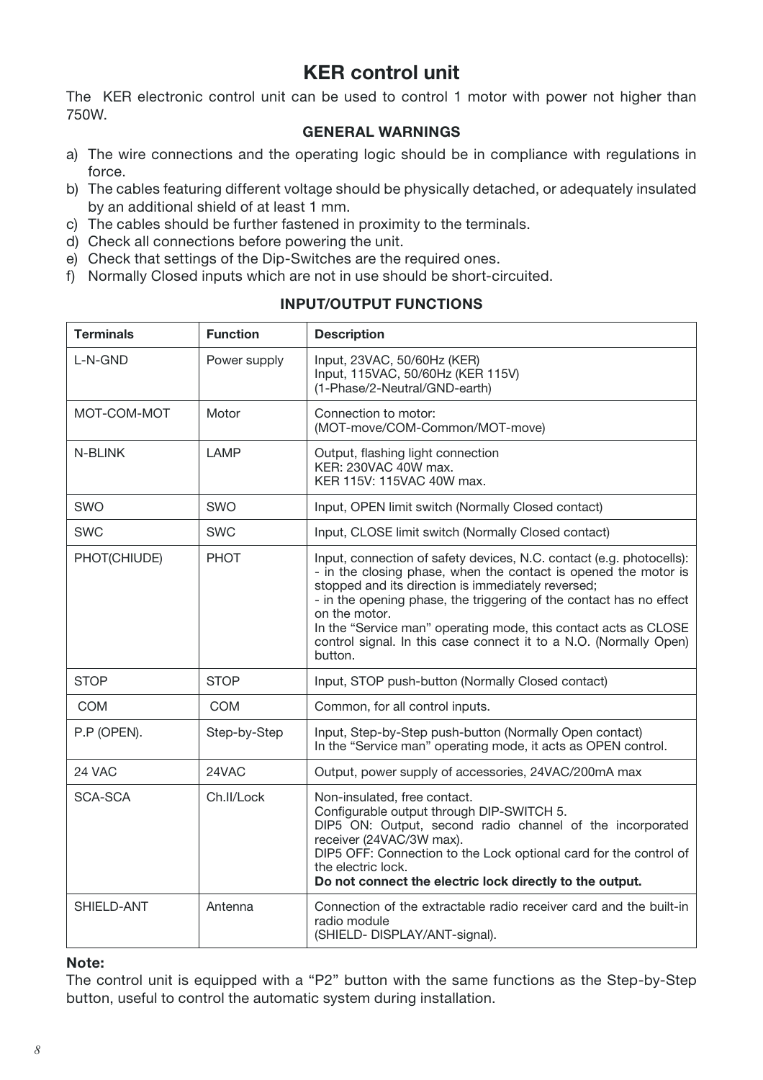### KER control unit

The KER electronic control unit can be used to control 1 motor with power not higher than 750W.

#### GENERAL WARNINGS

- a) The wire connections and the operating logic should be in compliance with regulations in force.
- b) The cables featuring different voltage should be physically detached, or adequately insulated by an additional shield of at least 1 mm.
- c) The cables should be further fastened in proximity to the terminals.
- d) Check all connections before powering the unit.
- e) Check that settings of the Dip-Switches are the required ones.
- f) Normally Closed inputs which are not in use should be short-circuited.

| <b>Terminals</b> | <b>Function</b> | <b>Description</b>                                                                                                                                                                                                                                                                                                                                                                                                                       |
|------------------|-----------------|------------------------------------------------------------------------------------------------------------------------------------------------------------------------------------------------------------------------------------------------------------------------------------------------------------------------------------------------------------------------------------------------------------------------------------------|
| L-N-GND          | Power supply    | Input, 23VAC, 50/60Hz (KER)<br>Input, 115VAC, 50/60Hz (KER 115V)<br>(1-Phase/2-Neutral/GND-earth)                                                                                                                                                                                                                                                                                                                                        |
| MOT-COM-MOT      | Motor           | Connection to motor:<br>(MOT-move/COM-Common/MOT-move)                                                                                                                                                                                                                                                                                                                                                                                   |
| N-BLINK          | <b>LAMP</b>     | Output, flashing light connection<br>KER: 230VAC 40W max.<br>KER 115V: 115VAC 40W max.                                                                                                                                                                                                                                                                                                                                                   |
| SWO              | SWO             | Input, OPEN limit switch (Normally Closed contact)                                                                                                                                                                                                                                                                                                                                                                                       |
| <b>SWC</b>       | <b>SWC</b>      | Input, CLOSE limit switch (Normally Closed contact)                                                                                                                                                                                                                                                                                                                                                                                      |
| PHOT(CHIUDE)     | <b>PHOT</b>     | Input, connection of safety devices, N.C. contact (e.g. photocells):<br>- in the closing phase, when the contact is opened the motor is<br>stopped and its direction is immediately reversed;<br>- in the opening phase, the triggering of the contact has no effect<br>on the motor.<br>In the "Service man" operating mode, this contact acts as CLOSE<br>control signal. In this case connect it to a N.O. (Normally Open)<br>button. |
| <b>STOP</b>      | <b>STOP</b>     | Input, STOP push-button (Normally Closed contact)                                                                                                                                                                                                                                                                                                                                                                                        |
| <b>COM</b>       | <b>COM</b>      | Common, for all control inputs.                                                                                                                                                                                                                                                                                                                                                                                                          |
| P.P (OPEN).      | Step-by-Step    | Input, Step-by-Step push-button (Normally Open contact)<br>In the "Service man" operating mode, it acts as OPEN control.                                                                                                                                                                                                                                                                                                                 |
| 24 VAC           | 24VAC           | Output, power supply of accessories, 24VAC/200mA max                                                                                                                                                                                                                                                                                                                                                                                     |
| <b>SCA-SCA</b>   | Ch.II/Lock      | Non-insulated, free contact.<br>Configurable output through DIP-SWITCH 5.<br>DIP5 ON: Output, second radio channel of the incorporated<br>receiver (24VAC/3W max).<br>DIP5 OFF: Connection to the Lock optional card for the control of<br>the electric lock.<br>Do not connect the electric lock directly to the output.                                                                                                                |
| SHIELD-ANT       | Antenna         | Connection of the extractable radio receiver card and the built-in<br>radio module<br>(SHIELD- DISPLAY/ANT-signal).                                                                                                                                                                                                                                                                                                                      |

#### INPUT/OUTPUT FUNCTIONS

#### Note:

The control unit is equipped with a "P2" button with the same functions as the Step-by-Step button, useful to control the automatic system during installation.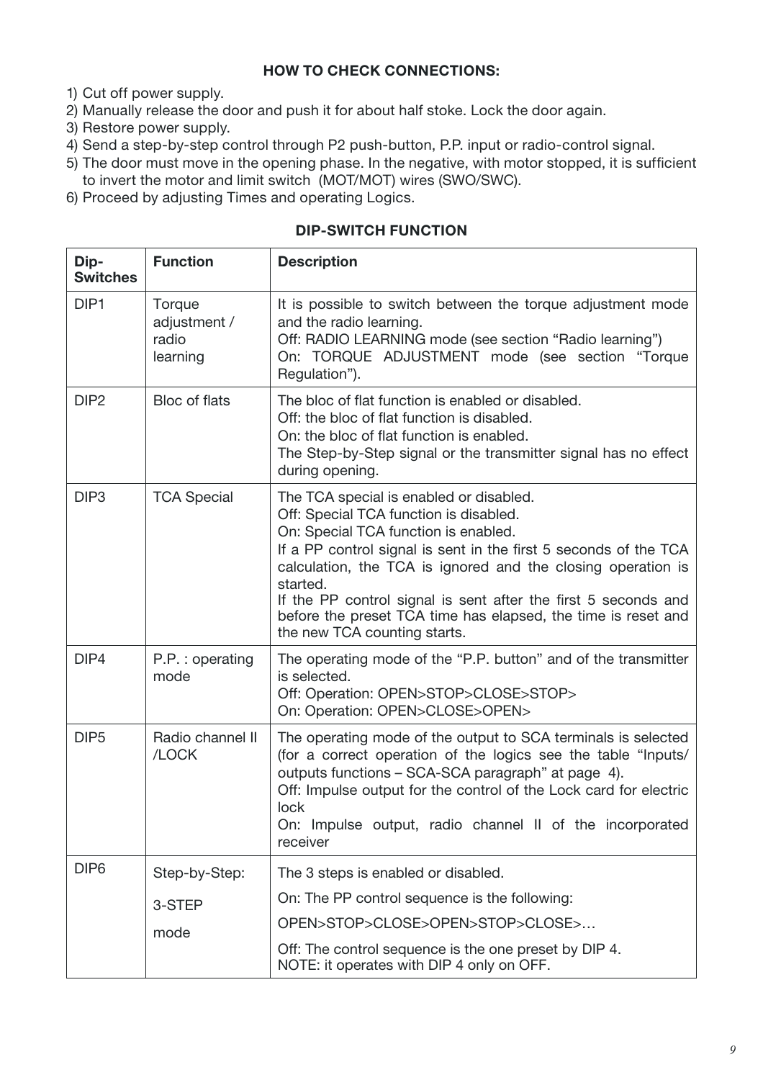#### HOW TO CHECK CONNECTIONS:

- 1) Cut off power supply.
- 2) Manually release the door and push it for about half stoke. Lock the door again.
- 3) Restore power supply.
- 4) Send a step-by-step control through P2 push-button, P.P. input or radio-control signal.
- 5) The door must move in the opening phase. In the negative, with motor stopped, it is sufficient to invert the motor and limit switch (MOT/MOT) wires (SWO/SWC).
- 6) Proceed by adjusting Times and operating Logics.

#### DIP-SWITCH FUNCTION

| Dip-<br><b>Switches</b> | <b>Function</b>                             | <b>Description</b>                                                                                                                                                                                                                                                                                                                                                                                                                           |
|-------------------------|---------------------------------------------|----------------------------------------------------------------------------------------------------------------------------------------------------------------------------------------------------------------------------------------------------------------------------------------------------------------------------------------------------------------------------------------------------------------------------------------------|
| DIP <sub>1</sub>        | Torque<br>adjustment /<br>radio<br>learning | It is possible to switch between the torque adjustment mode<br>and the radio learning.<br>Off: RADIO LEARNING mode (see section "Radio learning")<br>On: TORQUE ADJUSTMENT mode (see section "Torque<br>Regulation").                                                                                                                                                                                                                        |
| DIP <sub>2</sub>        | Bloc of flats                               | The bloc of flat function is enabled or disabled.<br>Off: the bloc of flat function is disabled.<br>On: the bloc of flat function is enabled.<br>The Step-by-Step signal or the transmitter signal has no effect<br>during opening.                                                                                                                                                                                                          |
| DIP <sub>3</sub>        | <b>TCA Special</b>                          | The TCA special is enabled or disabled.<br>Off: Special TCA function is disabled.<br>On: Special TCA function is enabled.<br>If a PP control signal is sent in the first 5 seconds of the TCA<br>calculation, the TCA is ignored and the closing operation is<br>started.<br>If the PP control signal is sent after the first 5 seconds and<br>before the preset TCA time has elapsed, the time is reset and<br>the new TCA counting starts. |
| DIP4                    | P.P.: operating<br>mode                     | The operating mode of the "P.P. button" and of the transmitter<br>is selected.<br>Off: Operation: OPEN>STOP>CLOSE>STOP><br>On: Operation: OPEN>CLOSE>OPEN>                                                                                                                                                                                                                                                                                   |
| DIP <sub>5</sub>        | Radio channel II<br>/LOCK                   | The operating mode of the output to SCA terminals is selected<br>(for a correct operation of the logics see the table "Inputs/<br>outputs functions - SCA-SCA paragraph" at page 4).<br>Off: Impulse output for the control of the Lock card for electric<br>lock<br>On: Impulse output, radio channel II of the incorporated<br>receiver                                                                                                    |
| DIP <sub>6</sub>        | Step-by-Step:<br>3-STEP<br>mode             | The 3 steps is enabled or disabled.<br>On: The PP control sequence is the following:<br>OPEN>STOP>CLOSE>OPEN>STOP>CLOSE><br>Off: The control sequence is the one preset by DIP 4.                                                                                                                                                                                                                                                            |
|                         |                                             | NOTE: it operates with DIP 4 only on OFF.                                                                                                                                                                                                                                                                                                                                                                                                    |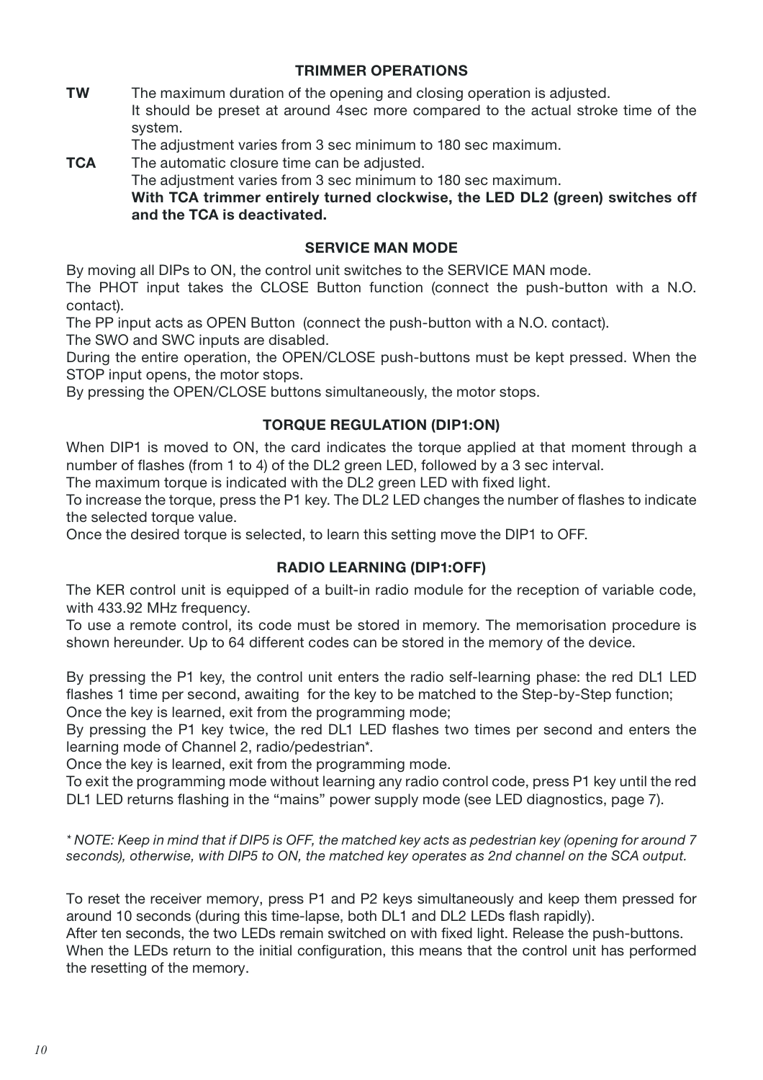#### TRIMMER OPERATIONS

**TW** The maximum duration of the opening and closing operation is adjusted. It should be preset at around 4sec more compared to the actual stroke time of the system.

The adjustment varies from 3 sec minimum to 180 sec maximum.

**TCA** The automatic closure time can be adjusted.

The adjustment varies from 3 sec minimum to 180 sec maximum.

 With TCA trimmer entirely turned clockwise, the LED DL2 (green) switches off and the TCA is deactivated.

#### SERVICE MAN MODE

By moving all DIPs to ON, the control unit switches to the SERVICE MAN mode.

The PHOT input takes the CLOSE Button function (connect the push-button with a N.O. contact).

The PP input acts as OPEN Button (connect the push-button with a N.O. contact). The SWO and SWC inputs are disabled.

During the entire operation, the OPEN/CLOSE push-buttons must be kept pressed. When the STOP input opens, the motor stops.

By pressing the OPEN/CLOSE buttons simultaneously, the motor stops.

#### TORQUE REGULATION (DIP1:ON)

When DIP1 is moved to ON, the card indicates the torque applied at that moment through a number of flashes (from 1 to 4) of the DL2 green LED, followed by a 3 sec interval.

The maximum torque is indicated with the DL2 green LED with fixed light.

To increase the torque, press the P1 key. The DL2 LED changes the number of flashes to indicate the selected torque value.

Once the desired torque is selected, to learn this setting move the DIP1 to OFF.

#### RADIO LEARNING (DIP1:OFF)

The KER control unit is equipped of a built-in radio module for the reception of variable code, with 433.92 MHz frequency.

To use a remote control, its code must be stored in memory. The memorisation procedure is shown hereunder. Up to 64 different codes can be stored in the memory of the device.

By pressing the P1 key, the control unit enters the radio self-learning phase: the red DL1 LED flashes 1 time per second, awaiting for the key to be matched to the Step-by-Step function; Once the key is learned, exit from the programming mode;

By pressing the P1 key twice, the red DL1 LED flashes two times per second and enters the learning mode of Channel 2, radio/pedestrian\*.

Once the key is learned, exit from the programming mode.

To exit the programming mode without learning any radio control code, press P1 key until the red DL1 LED returns flashing in the "mains" power supply mode (see LED diagnostics, page 7).

*\* NOTE: Keep in mind that if DIP5 is OFF, the matched key acts as pedestrian key (opening for around 7 seconds), otherwise, with DIP5 to ON, the matched key operates as 2nd channel on the SCA output.*

To reset the receiver memory, press P1 and P2 keys simultaneously and keep them pressed for around 10 seconds (during this time-lapse, both DL1 and DL2 LEDs flash rapidly).

After ten seconds, the two LEDs remain switched on with fixed light. Release the push-buttons. When the LEDs return to the initial configuration, this means that the control unit has performed the resetting of the memory.